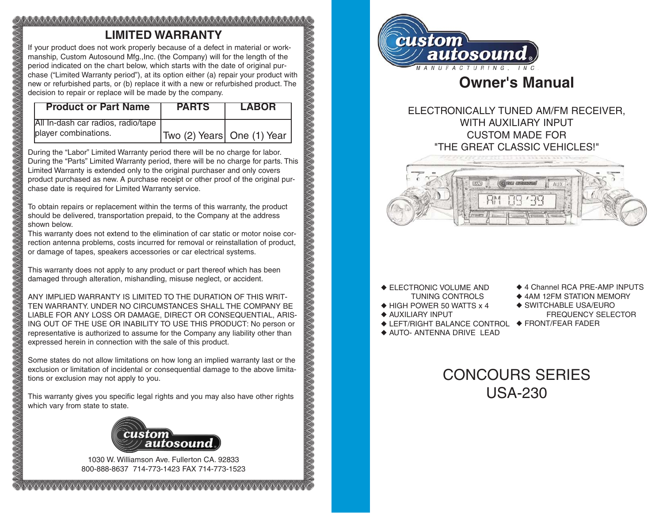# <u>MAANA MAANA MAANA MAANA MAANA MAANA MA</u> **LIMITED WARRANTY**

If your product does not work properly because of a defect in material or workmanship, Custom Autosound Mfg.,Inc. (the Company) will for the length of the period indicated on the chart below, which starts with the date of original purchase ("Limited Warranty period"), at its option either (a) repair your product with new or refurbished parts, or (b) replace it with a new or refurbished product. The decision to repair or replace will be made by the company.

| <b>Product or Part Name</b>        | <b>PARTS</b>               | <b>LABOR</b> |
|------------------------------------|----------------------------|--------------|
| All In-dash car radios, radio/tape |                            |              |
| player combinations.               | Two (2) Years One (1) Year |              |

During the "Labor" Limited Warranty period there will be no charge for labor. During the "Parts" Limited Warranty period, there will be no charge for parts. This Limited Warranty is extended only to the original purchaser and only covers product purchased as new. A purchase receipt or other proof of the original purchase date is required for Limited Warranty service.

To obtain repairs or replacement within the terms of this warranty, the product should be delivered, transportation prepaid, to the Company at the address shown below.

This warranty does not extend to the elimination of car static or motor noise correction antenna problems, costs incurred for removal or reinstallation of product, or damage of tapes, speakers accessories or car electrical systems.

This warranty does not apply to any product or part thereof which has been damaged through alteration, mishandling, misuse neglect, or accident.

ANY IMPLIED WARRANTY IS LIMITED TO THE DURATION OF THIS WRIT-TEN WARRANTY. UNDER NO CIRCUMSTANCES SHALL THE COMPANY BE LIABLE FOR ANY LOSS OR DAMAGE, DIRECT OR CONSEQUENTIAL, ARIS-ING OUT OF THE USE OR INABILITY TO USE THIS PRODUCT: No person or representative is authorized to assume for the Company any liability other than expressed herein in connection with the sale of this product.

Some states do not allow limitations on how long an implied warranty last or the exclusion or limitation of incidental or consequential damage to the above limitations or exclusion may not apply to you.

This warranty gives you specific legal rights and you may also have other rights which vary from state to state.



1030 W. Williamson Ave. Fullerton CA. 92833 800-888-8637 714-773-1423 FAX 714-773-1523

WWW.WWW.WWW.WWW.WWW.WWWWWW



# **Owner's Manual**

# ELECTRONICALLY TUNED AM/FM RECEIVER, WITH AUXILIARY INPUT CUSTOM MADE FOR "THE GREAT CLASSIC VEHICLES!"



- ◆ ELECTRONIC VOLUME AND TUNING CONTROLS
- ◆ HIGH POWER 50 WATTS x 4
- ◆ AUXILIARY INPUT
- ◆ LEFT/RIGHT BALANCE CONTROL ◆ FRONT/FEAR FADER◆ AUTO- ANTENNA DRIVE LEAD
- ◆ 4 Channel RCA PRE-AMP INPUTS
- ◆ 4AM 12FM STATION MEMORY
- ◆ SWITCHABLE USA/EURO
- FREQUENCY SELECTOR
	-

# CONCOURS SERIES USA-230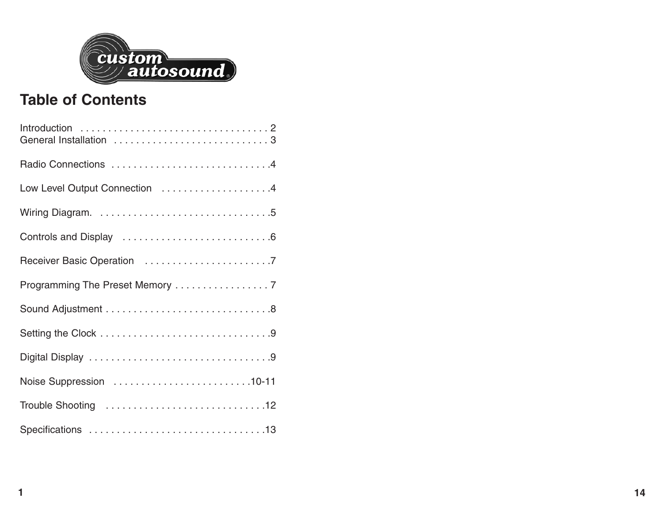

# **Table of Contents**

| Low Level Output Connection 4 |
|-------------------------------|
|                               |
|                               |
|                               |
|                               |
|                               |
|                               |
|                               |
| Noise Suppression 10-11       |
|                               |
|                               |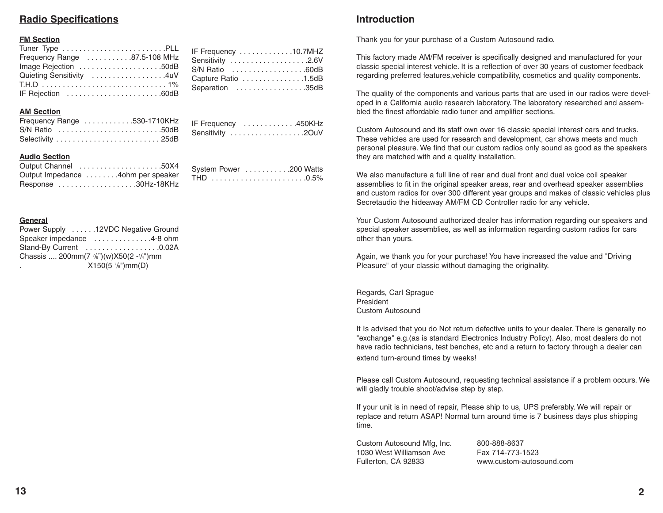# **Radio Specifications**

## **FM Section**

| Frequency Range 87.5-108 MHz |  |
|------------------------------|--|
| Image Rejection 50dB         |  |
| Quieting Sensitivity 4uV     |  |
|                              |  |
| IF Rejection 60dB            |  |

#### **AM Section**

| Frequency Range 530-1710KHz |  |
|-----------------------------|--|
| S/N Ratio 50dB              |  |
|                             |  |

| IF Frequency 450KHz |  |
|---------------------|--|
| Sensitivity 20uV    |  |

System Power . . . . . . . . . . . . . 200 Watts THD . . . . . . . . . . . . . . . . . . . . . . .0.5%

IF Frequency . . . . . . . . . . . . .10.7MHZ Sensitivity . . . . . . . . . . . . . . . . . . .2.6V S/N Ratio . . . . . . . . . . . . . . . . . .60dB Capture Ratio . . . . . . . . . . . . . . .1.5dB Separation . . . . . . . . . . . . . . . . . . 35dB

## **Audio Section**

| Output Channel 50X4               |
|-----------------------------------|
| Output Impedance 4ohm per speaker |
| Response 30Hz-18KHz               |

#### **General**

|    | Power Supply 12VDC Negative Ground                             |
|----|----------------------------------------------------------------|
|    | Speaker impedance 4-8 ohm                                      |
|    | Stand-By Current 0.02A                                         |
|    | Chassis  200mm(7 $\frac{7}{8}$ ")(w)X50(2 - $\frac{1}{4}$ ")mm |
| ٠. | $X150(5\frac{7}{8})mm(D)$                                      |

# **Introduction**

Thank you for your purchase of a Custom Autosound radio.

This factory made AM/FM receiver is specifically designed and manufactured for your classic special interest vehicle. It is a reflection of over 30 years of customer feedback regarding preferred features,vehicle compatibility, cosmetics and quality components.

The quality of the components and various parts that are used in our radios were developed in a California audio research laboratory. The laboratory researched and assembled the finest affordable radio tuner and amplifier sections.

Custom Autosound and its staff own over 16 classic special interest cars and trucks. These vehicles are used for research and development, car shows meets and much personal pleasure. We find that our custom radios only sound as good as the speakers they are matched with and a quality installation.

We also manufacture a full line of rear and dual front and dual voice coil speaker assemblies to fit in the original speaker areas, rear and overhead speaker assemblies and custom radios for over 300 different year groups and makes of classic vehicles plus Secretaudio the hideaway AM/FM CD Controller radio for any vehicle.

Your Custom Autosound authorized dealer has information regarding our speakers and special speaker assemblies, as well as information regarding custom radios for cars other than yours.

Again, we thank you for your purchase! You have increased the value and "Driving Pleasure" of your classic without damaging the originality.

Regards, Carl Sprague President Custom Autosound

It Is advised that you do Not return defective units to your dealer. There is generally no "exchange" e.g.(as is standard Electronics Industry Policy). Also, most dealers do not have radio technicians, test benches, etc and a return to factory through a dealer can extend turn-around times by weeks!

Please call Custom Autosound, requesting technical assistance if a problem occurs. We will gladly trouble shoot/advise step by step.

If your unit is in need of repair, Please ship to us, UPS preferably. We will repair or replace and return ASAP! Normal turn around time is 7 business days plus shipping time.

Custom Autosound Mfg, Inc. 800-888-8637 1030 West Williamson Ave Fax 714-773-1523 Fullerton, CA 92833 www.custom-autosound.com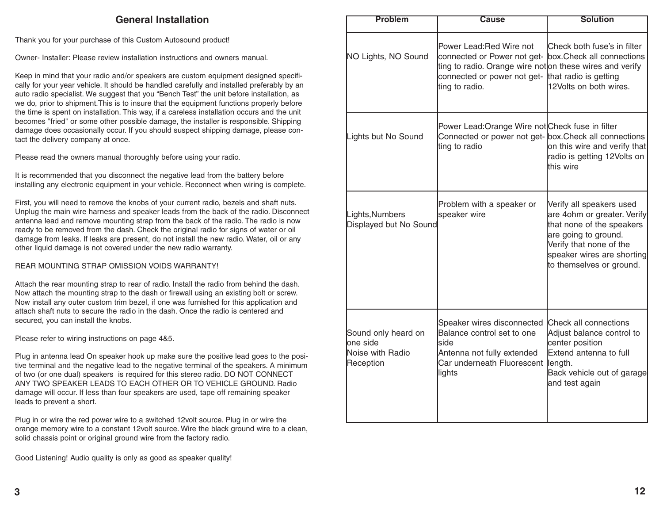# **General Installation**

Thank you for your purchase of this Custom Autosound product!

Owner- Installer: Please review installation instructions and owners manual.

Keep in mind that your radio and/or speakers are custom equipment designed specifically for your year vehicle. It should be handled carefully and installed preferably by an auto radio specialist. We suggest that you "Bench Test" the unit before installation, as we do, prior to shipment.This is to insure that the equipment functions properly before the time is spent on installation. This way, if a careless installation occurs and the unit becomes "fried" or some other possible damage, the installer is responsible. Shipping damage does occasionally occur. If you should suspect shipping damage, please contact the delivery company at once.

Please read the owners manual thoroughly before using your radio.

It is recommended that you disconnect the negative lead from the battery before installing any electronic equipment in your vehicle. Reconnect when wiring is complete.

First, you will need to remove the knobs of your current radio, bezels and shaft nuts. Unplug the main wire harness and speaker leads from the back of the radio. Disconnect antenna lead and remove mounting strap from the back of the radio. The radio is now ready to be removed from the dash. Check the original radio for signs of water or oil damage from leaks. If leaks are present, do not install the new radio. Water, oil or any other liquid damage is not covered under the new radio warranty.

REAR MOUNTING STRAP OMISSION VOIDS WARRANTY!

Attach the rear mounting strap to rear of radio. Install the radio from behind the dash. Now attach the mounting strap to the dash or firewall using an existing bolt or screw. Now install any outer custom trim bezel, if one was furnished for this application and attach shaft nuts to secure the radio in the dash. Once the radio is centered and secured, you can install the knobs.

Please refer to wiring instructions on page 4&5.

Plug in antenna lead On speaker hook up make sure the positive lead goes to the positive terminal and the negative lead to the negative terminal of the speakers. A minimum of two (or one dual) speakers is required for this stereo radio. DO NOT CONNECT ANY TWO SPEAKER LEADS TO EACH OTHER OR TO VEHICLE GROUND. Radio damage will occur. If less than four speakers are used, tape off remaining speaker leads to prevent a short.

Plug in or wire the red power wire to a switched 12volt source. Plug in or wire the orange memory wire to a constant 12volt source. Wire the black ground wire to a clean, solid chassis point or original ground wire from the factory radio.

Good Listening! Audio quality is only as good as speaker quality!

| <b>Problem</b>                                                   | <b>Cause</b>                                                                                                                                                        | <b>Solution</b>                                                                                                                                                                                   |
|------------------------------------------------------------------|---------------------------------------------------------------------------------------------------------------------------------------------------------------------|---------------------------------------------------------------------------------------------------------------------------------------------------------------------------------------------------|
| NO Lights, NO Sound                                              | Power Lead:Red Wire not<br>connected or Power not get-<br>ting to radio. Orange wire not on these wires and verify<br>connected or power not get-<br>ting to radio. | Check both fuse's in filter<br>box.Check all connections<br>that radio is getting<br>12Volts on both wires.                                                                                       |
| Lights but No Sound                                              | Power Lead:Orange Wire not Check fuse in filter<br>Connected or power not get- box. Check all connections<br>ting to radio                                          | on this wire and verify that<br>radio is getting 12Volts on<br>this wire                                                                                                                          |
| Lights, Numbers<br>Displayed but No Sound                        | Problem with a speaker or<br>speaker wire                                                                                                                           | Verify all speakers used<br>are 4ohm or greater. Verify<br>that none of the speakers<br>are going to ground.<br>Verify that none of the<br>speaker wires are shorting<br>to themselves or ground. |
| Sound only heard on<br>one side<br>Noise with Radio<br>Reception | Speaker wires disconnected<br>Balance control set to one<br>side<br>Antenna not fully extended<br>Car underneath Fluorescent<br>lights                              | Check all connections<br>Adjust balance control to<br>center position<br>Extend antenna to full<br>length.<br>Back vehicle out of garage<br>and test again                                        |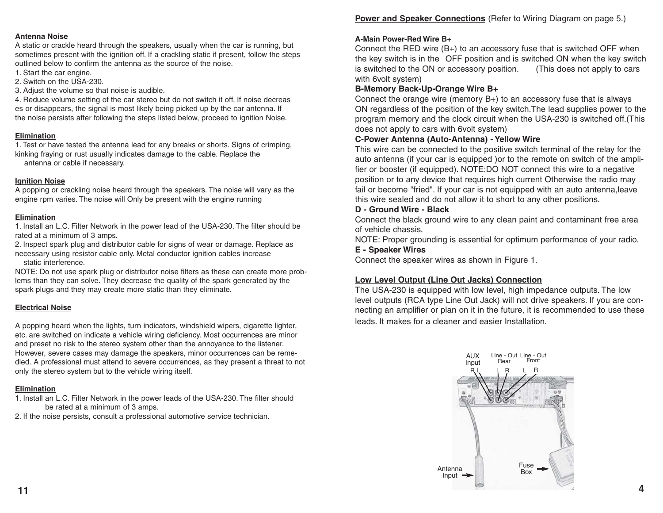## **Antenna Noise**

A static or crackle heard through the speakers, usually when the car is running, but sometimes present with the ignition off. If a crackling static if present, follow the steps outlined below to confirm the antenna as the source of the noise.

1. Start the car engine.

2. Switch on the USA-230.

3. Adjust the volume so that noise is audible.

4. Reduce volume setting of the car stereo but do not switch it off. If noise decreas es or disappears, the signal is most likely being picked up by the car antenna. If the noise persists after following the steps listed below, proceed to ignition Noise.

## **Elimination**

1. Test or have tested the antenna lead for any breaks or shorts. Signs of crimping, kinking fraying or rust usually indicates damage to the cable. Replace the antenna or cable if necessary.

## **Ignition Noise**

A popping or crackling noise heard through the speakers. The noise will vary as the engine rpm varies. The noise will Only be present with the engine running

# **Elimination**

1. Install an L.C. Filter Network in the power lead of the USA-230. The filter should be . rated at a minimum of 3 amps.

2. Inspect spark plug and distributor cable for signs of wear or damage. Replace as necessary using resistor cable only. Metal conductor ignition cables increase . static interference.

NOTE: Do not use spark plug or distributor noise filters as these can create more problems than they can solve. They decrease the quality of the spark generated by the spark plugs and they may create more static than they eliminate.

# **Electrical Noise**

A popping heard when the lights, turn indicators, windshield wipers, cigarette lighter, etc. are switched on indicate a vehicle wiring deficiency. Most occurrences are minor and preset no risk to the stereo system other than the annoyance to the listener. However, severe cases may damage the speakers, minor occurrences can be remedied. A professional must attend to severe occurrences, as they present a threat to not only the stereo system but to the vehicle wiring itself.

# **Elimination**

1. Install an L.C. Filter Network in the power leads of the USA-230. The filter should be rated at a minimum of 3 amps.

2. If the noise persists, consult a professional automotive service technician.

## **A-Main Power-Red Wire B+**

Connect the RED wire  $(B<sub>+</sub>)$  to an accessory fuse that is switched OFF when the key switch is in the OFF position and is switched ON when the key switch is switched to the ON or accessory position. (This does not apply to cars with 6volt system)

# **B-Memory Back-Up-Orange Wire B+**

Connect the orange wire (memory B+) to an accessory fuse that is always ON regardless of the position of the key switch.The lead supplies power to the program memory and the clock circuit when the USA-230 is switched off.(This does not apply to cars with 6volt system)

# **C-Power Antenna (Auto-Antenna) - Yellow Wire**

This wire can be connected to the positive switch terminal of the relay for the auto antenna (if your car is equipped )or to the remote on switch of the amplifier or booster (if equipped). NOTE:DO NOT connect this wire to a negative position or to any device that requires high current Otherwise the radio may fail or become "fried". If your car is not equipped with an auto antenna,leave this wire sealed and do not allow it to short to any other positions.

# **D - Ground Wire - Black**

Connect the black ground wire to any clean paint and contaminant free area of vehicle chassis.

NOTE: Proper grounding is essential for optimum performance of your radio.

# **E - Speaker Wires**

Connect the speaker wires as shown in Figure 1.

# **Low Level Output (Line Out Jacks) Connection**

The USA-230 is equipped with low level, high impedance outputs. The low level outputs (RCA type Line Out Jack) will not drive speakers. If you are connecting an amplifier or plan on it in the future, it is recommended to use these leads. It makes for a cleaner and easier Installation.

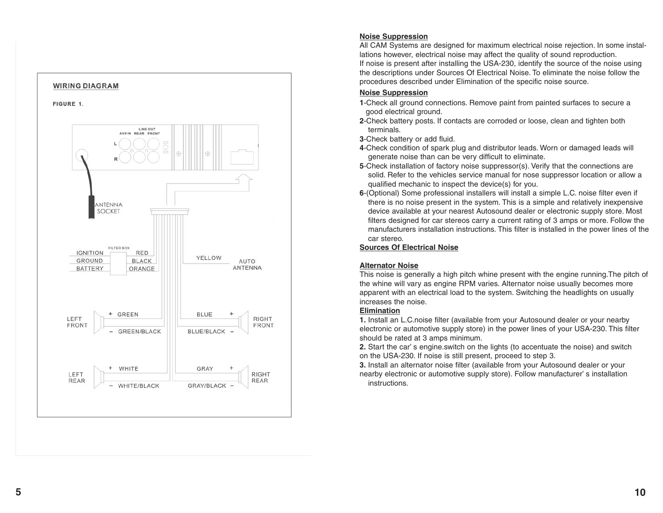

#### **Noise Suppression**

All CAM Systems are designed for maximum electrical noise rejection. In some installations however, electrical noise may affect the quality of sound reproduction. If noise is present after installing the USA-230, identify the source of the noise using the descriptions under Sources Of Electrical Noise. To eliminate the noise follow the procedures described under Elimination of the specific noise source.

#### **Noise Suppression**

- **1**-Check all ground connections. Remove paint from painted surfaces to secure a . good electrical ground.
- **2**-Check battery posts. If contacts are corroded or loose, clean and tighten both . terminals.
- **3**-Check battery or add fluid.
- **4**-Check condition of spark plug and distributor leads. Worn or damaged leads will . generate noise than can be very difficult to eliminate.
- **5**-Check installation of factory noise suppressor(s). Verify that the connections are solid. Refer to the vehicles service manual for nose suppressor location or allow a . qualified mechanic to inspect the device(s) for you.
- **6**-(Optional) Some professional installers will install a simple L.C. noise filter even if . . there is no noise present in the system. This is a simple and relatively inexpensive device available at your nearest Autosound dealer or electronic supply store. Most filters designed for car stereos carry a current rating of 3 amps or more. Follow the . manufacturers installation instructions. This filter is installed in the power lines of the . car stereo.

## **Sources Of Electrical Noise**

#### **Alternator Noise**

This noise is generally a high pitch whine present with the engine running.The pitch of the whine will vary as engine RPM varies. Alternator noise usually becomes more apparent with an electrical load to the system. Switching the headlights on usually increases the noise.

#### **Elimination**

**1.** Install an L.C.noise filter (available from your Autosound dealer or your nearby . electronic or automotive supply store) in the power lines of your USA-230. This filter should be rated at 3 amps minimum.

**2.** Start the car' s engine.switch on the lights (to accentuate the noise) and switch . . on the USA-230. If noise is still present, proceed to step 3.

**3.** Install an alternator noise filter (available from your Autosound dealer or your nearby electronic or automotive supply store). Follow manufacturer' s installation . . instructions.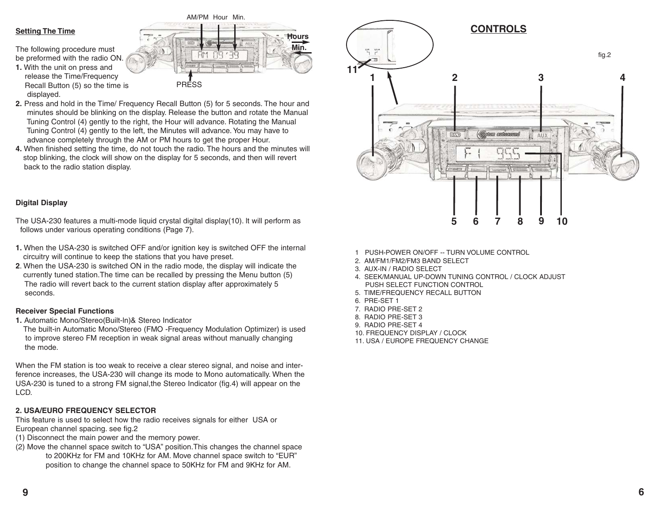#### **Setting The Time**

The following procedure must be preformed with the radio ON.

**1.** With the unit on press and release the Time/Frequency Recall Button (5) so the time is displayed.



- **2.** Press and hold in the Time/ Frequency Recall Button (5) for 5 seconds. The hour and minutes should be blinking on the display. Release the button and rotate the Manual Tuning Control (4) gently to the right, the Hour will advance. Rotating the Manual Tuning Control (4) gently to the left, the Minutes will advance. You may have to advance completely through the AM or PM hours to get the proper Hour.
- **4.** When finished setting the time, do not touch the radio. The hours and the minutes will . stop blinking, the clock will show on the display for 5 seconds, and then will revert . back to the radio station display.

#### **Digital Display**

The USA-230 features a multi-mode liquid crystal digital display(10). lt will perform as follows under various operating conditions (Page 7).

- **1.** When the USA-230 is switched OFF and/or ignition key is switched OFF the internal . circuitry will continue to keep the stations that you have preset.
- **2**. When the USA-230 is switched ON in the radio mode, the display will indicate the . currently tuned station.The time can be recalled by pressing the Menu button (5) The radio will revert back to the current station display after approximately 5 seconds.

#### **Receiver Special Functions**

**1.** Automatic Mono/Stereo(Built-ln)& Stereo Indicator

. The built-in Automatic Mono/Stereo (FMO -Frequency Modulation Optimizer) is used to improve stereo FM reception in weak signal areas without manually changing the mode.

When the FM station is too weak to receive a clear stereo signal, and noise and interference increases, the USA-230 will change its mode to Mono automatically. When the USA-230 is tuned to a strong FM signal,the Stereo Indicator (fig.4) will appear on the LCD.

#### **2. USA/EURO FREQUENCY SELECTOR**

This feature is used to select how the radio receives signals for either USA or European channel spacing. see fig.2

- (1) Disconnect the main power and the memory power.
- (2) Move the channel space switch to "USA" position.This changes the channel space to 200KHz for FM and 10KHz for AM. Move channel space switch to "EUR" position to change the channel space to 50KHz for FM and 9KHz for AM.



- 2. AM/FM1/FM2/FM3 BAND SELECT
- 3. AUX-IN / RADIO SELECT
- 4. SEEK/MANUAL UP-DOWN TUNING CONTROL / CLOCK ADJUST PUSH SELECT FUNCTION CONTROL

**12 34**

fig.2

**CONTROLS**

**5678 9 10**

AUX

- 5. TIME/FREQUENCY RECALL BUTTON
- 6. PRE-SET 1

**11**

- 7. RADIO PRE-SET 2
- 8. RADIO PRE-SET 3
- 9. RADIO PRE-SET 4
- 10. FREQUENCY DISPLAY / CLOCK
- 11. USA / EUROPE FREQUENCY CHANGE